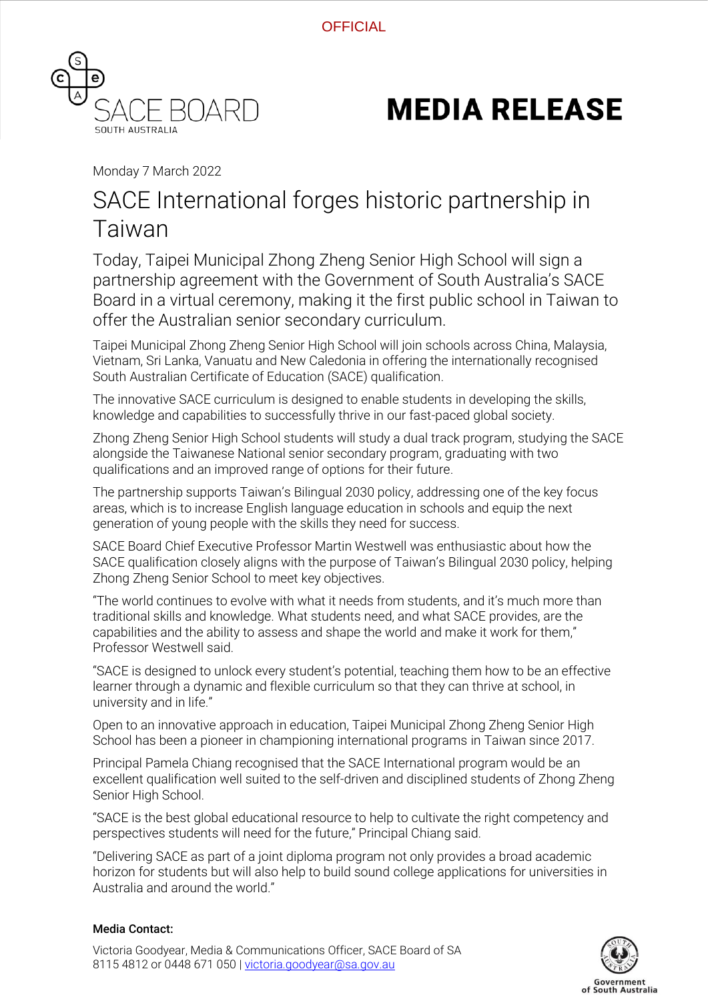

# **MEDIA RELEASE**

Monday 7 March 2022

## SACE International forges historic partnership in Taiwan

Today, Taipei Municipal Zhong Zheng Senior High School will sign a partnership agreement with the Government of South Australia's SACE Board in a virtual ceremony, making it the first public school in Taiwan to offer the Australian senior secondary curriculum.

Taipei Municipal Zhong Zheng Senior High School will join schools across China, Malaysia, Vietnam, Sri Lanka, Vanuatu and New Caledonia in offering the internationally recognised South Australian Certificate of Education (SACE) qualification.

The innovative SACE curriculum is designed to enable students in developing the skills, knowledge and capabilities to successfully thrive in our fast-paced global society.

Zhong Zheng Senior High School students will study a dual track program, studying the SACE alongside the Taiwanese National senior secondary program, graduating with two qualifications and an improved range of options for their future.

The partnership supports Taiwan's Bilingual 2030 policy, addressing one of the key focus areas, which is to increase English language education in schools and equip the next generation of young people with the skills they need for success.

SACE Board Chief Executive Professor Martin Westwell was enthusiastic about how the SACE qualification closely aligns with the purpose of Taiwan's Bilingual 2030 policy, helping Zhong Zheng Senior School to meet key objectives.

"The world continues to evolve with what it needs from students, and it's much more than traditional skills and knowledge. What students need, and what SACE provides, are the capabilities and the ability to assess and shape the world and make it work for them," Professor Westwell said.

"SACE is designed to unlock every student's potential, teaching them how to be an effective learner through a dynamic and flexible curriculum so that they can thrive at school, in university and in life."

Open to an innovative approach in education, Taipei Municipal Zhong Zheng Senior High School has been a pioneer in championing international programs in Taiwan since 2017.

Principal Pamela Chiang recognised that the SACE International program would be an excellent qualification well suited to the self-driven and disciplined students of Zhong Zheng Senior High School.

"SACE is the best global educational resource to help to cultivate the right competency and perspectives students will need for the future," Principal Chiang said.

"Delivering SACE as part of a joint diploma program not only provides a broad academic horizon for students but will also help to build sound college applications for universities in Australia and around the world."

#### Media Contact:

Victoria Goodyear, Media & Communications Officer, SACE Board of SA 8115 4812 or 0448 671 050 | [victoria.goodyear@sa.gov.au](mailto:victoria.goodyear@sa.gov.au)

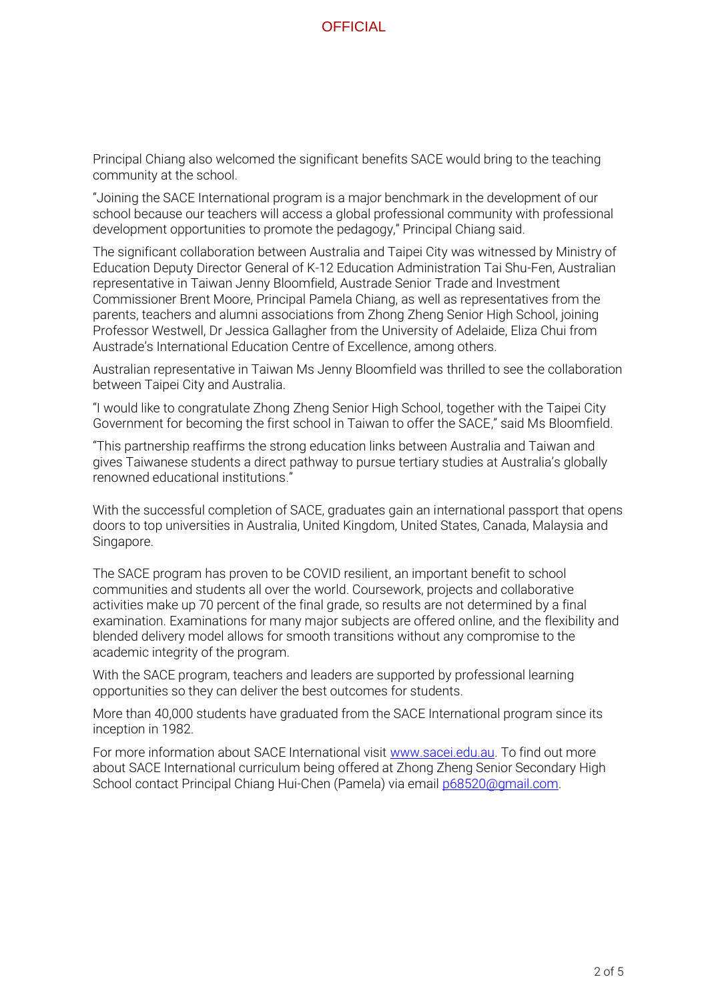**OFFICIAL** 

Principal Chiang also welcomed the significant benefits SACE would bring to the teaching community at the school.

"Joining the SACE International program is a major benchmark in the development of our school because our teachers will access a global professional community with professional development opportunities to promote the pedagogy," Principal Chiang said.

The significant collaboration between Australia and Taipei City was witnessed by Ministry of Education Deputy Director General of K-12 Education Administration Tai Shu-Fen, Australian representative in Taiwan Jenny Bloomfield, Austrade Senior Trade and Investment Commissioner Brent Moore, Principal Pamela Chiang, as well as representatives from the parents, teachers and alumni associations from Zhong Zheng Senior High School, joining Professor Westwell, Dr Jessica Gallagher from the University of Adelaide, Eliza Chui from Austrade's International Education Centre of Excellence, among others.

Australian representative in Taiwan Ms Jenny Bloomfield was thrilled to see the collaboration between Taipei City and Australia.

"I would like to congratulate Zhong Zheng Senior High School, together with the Taipei City Government for becoming the first school in Taiwan to offer the SACE," said Ms Bloomfield.

"This partnership reaffirms the strong education links between Australia and Taiwan and gives Taiwanese students a direct pathway to pursue tertiary studies at Australia's globally renowned educational institutions."

With the successful completion of SACE, graduates gain an international passport that opens doors to top universities in Australia, United Kingdom, United States, Canada, Malaysia and Singapore.

The SACE program has proven to be COVID resilient, an important benefit to school communities and students all over the world. Coursework, projects and collaborative activities make up 70 percent of the final grade, so results are not determined by a final examination. Examinations for many major subjects are offered online, and the flexibility and blended delivery model allows for smooth transitions without any compromise to the academic integrity of the program.

With the SACE program, teachers and leaders are supported by professional learning opportunities so they can deliver the best outcomes for students.

More than 40,000 students have graduated from the SACE International program since its inception in 1982.

For more information about SACE International visit [www.sacei.edu.au.](http://www.sacei.edu.au/) To find out more about SACE International curriculum being offered at Zhong Zheng Senior Secondary High School contact Principal Chiang Hui-Chen (Pamela) via email [p68520@gmail.com.](mailto:p68520@gmail.com)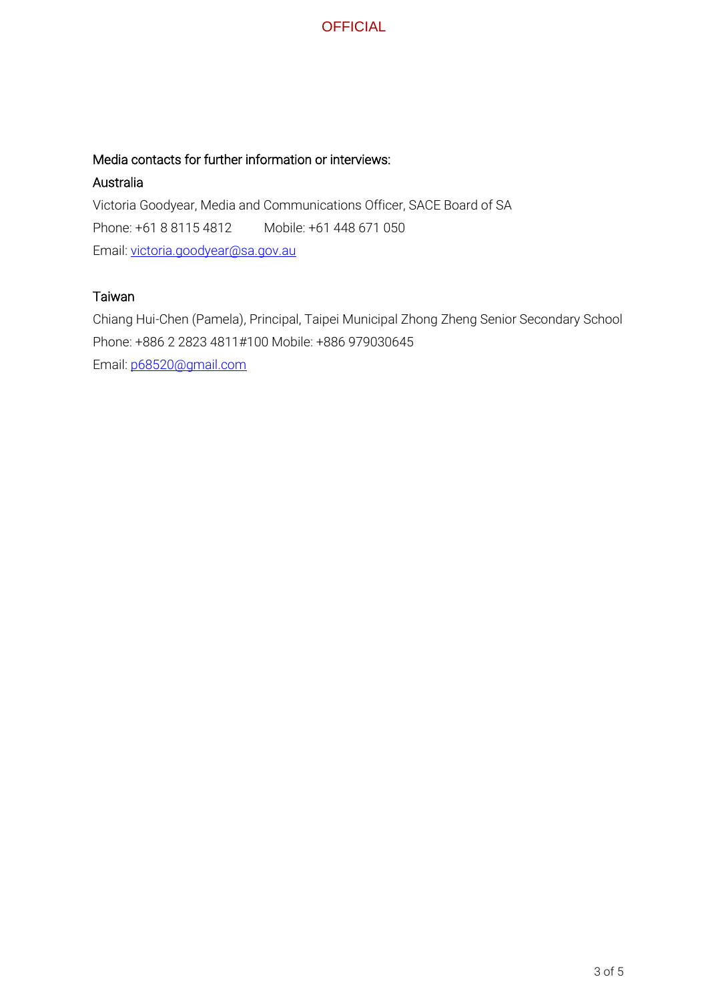

#### Media contacts for further information or interviews:

#### Australia

Victoria Goodyear, Media and Communications Officer, SACE Board of SA Phone: +61 8 8115 4812 Mobile: +61 448 671 050 Email: [victoria.goodyear@sa.gov.au](mailto:victoria.goodyear@sa.gov.au)

#### Taiwan

Chiang Hui-Chen (Pamela), Principal, Taipei Municipal Zhong Zheng Senior Secondary School Phone: +886 2 2823 4811#100 Mobile: +886 979030645 Email: [p68520@gmail.com](mailto:p68520@gmail.com)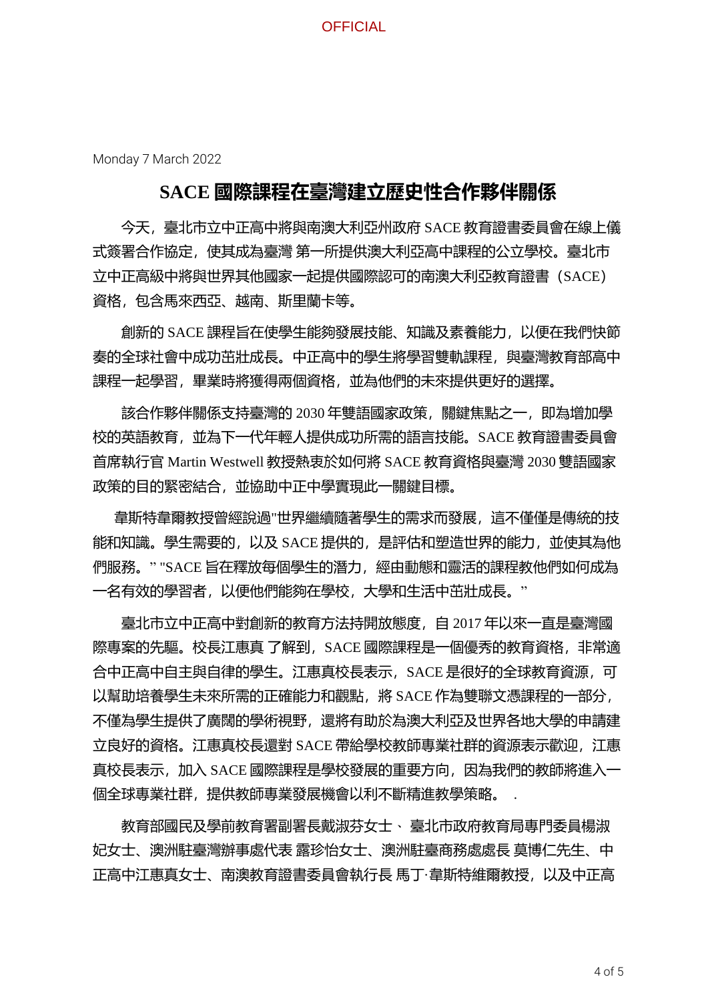**OFFICIAL** 

Monday 7 March 2022

### **SACE 國際課程在臺灣建立歷史性合作夥伴關係**

今天,臺北市立中正高中將與南澳大利亞州政府 SACE 教育證書委員會在線上儀 式簽署合作協定,使其成為臺灣 第一所提供澳大利亞高中課程的公立學校。臺北市 立中正高級中將與世界其他國家一起提供國際認可的南澳大利亞教育證書(SACE) 資格,包含馬來西亞、越南、斯里蘭卡等。

創新的 SACE 課程旨在使學生能夠發展技能、知識及素養能力,以便在我們快節 奏的全球社會中成功茁壯成長。中正高中的學生將學習雙軌課程,與臺灣教育部高中 課程一起學習,畢業時將獲得兩個資格,並為他們的未來提供更好的選擇。

該合作夥伴關係支持臺灣的 2030 年雙語國家政策,關鍵焦點之一,即為增加學 校的英語教育,並為下一代年輕人提供成功所需的語言技能。SACE 教育證書委員會 首席執行官 Martin Westwell 教授熱衷於如何將 SACE 教育資格與臺灣 2030 雙語國家 政策的目的緊密結合,並協助中正中學實現此一關鍵目標。

 韋斯特韋爾教授曾經說過"世界繼續隨著學生的需求而發展,這不僅僅是傳統的技 能和知識。學生需要的,以及 SACE 提供的,是評估和塑造世界的能力,並使其為他 們服務。" "SACE 旨在釋放每個學生的潛力,經由動態和靈活的課程教他們如何成為 一名有效的學習者,以便他們能夠在學校,大學和生活中茁壯成長。"

臺北市立中正高中對創新的教育方法持開放態度,自 2017 年以來一直是臺灣國 際專案的先驅。校長江惠真 了解到,SACE 國際課程是一個優秀的教育資格,非常適 合中正高中自主與自律的學生。江惠真校長表示,SACE 是很好的全球教育資源,可 以幫助培養學生未來所需的正確能力和觀點,將 SACE 作為雙聯文憑課程的一部分, 不僅為學生提供了廣闊的學術視野,還將有助於為澳大利亞及世界各地大學的申請建 立良好的資格。江惠真校長還對 SACE 帶給學校教師專業社群的資源表示歡迎,江惠 真校長表示,加入 SACE 國際課程是學校發展的重要方向,因為我們的教師將進入一 個全球專業社群,提供教師專業發展機會以利不斷精進教學策略。

教育部國民及學前教育署副署長戴淑芬女士、 臺北市政府教育局專門委員楊淑 妃女士、澳洲駐臺灣辦事處代表 露珍怡女士、澳洲駐臺商務處處長 莫博仁先生、中 正高中江惠真女士、南澳教育證書委員會執行長 馬丁·韋斯特維爾教授,以及中正高